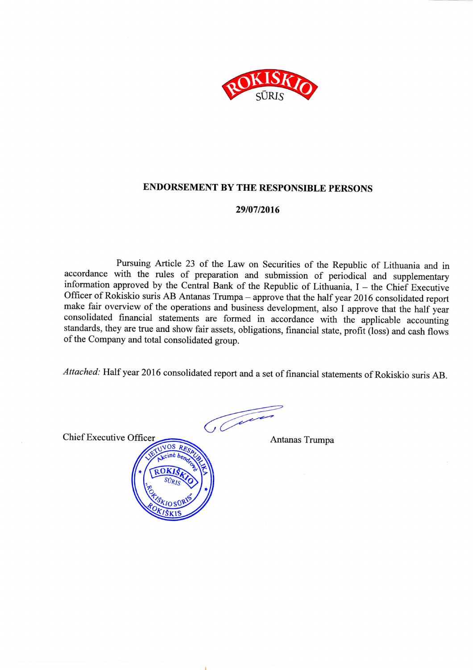

### **ENDORSEMENT BY THE RESPONSIBLE PERSONS**

#### 29/07/2016

Pursuing Article 23 of the Law on Securities of the Republic of Lithuania and in accordance with the rules of preparation and submission of periodical and supplementary information approved by the Central Bank of the Republic of Lithuania,  $I$  – the Chief Executive Officer of Rokiskio suris AB Antanas Trumpa - approve that the half year 2016 consolidated report make fair overview of the operations and business development, also I approve that the half year consolidated financial statements are formed in accordance with the applicable accounting standards, they are true and show fair assets, obligations, financial state, profit (loss) and cash flows of the Company and total consolidated group.

Attached: Half year 2016 consolidated report and a set of financial statements of Rokiskio suris AB.

 $\sqrt{\mathcal{L}^{2}}$ 

**Chief Executive Officer** 



Antanas Trumpa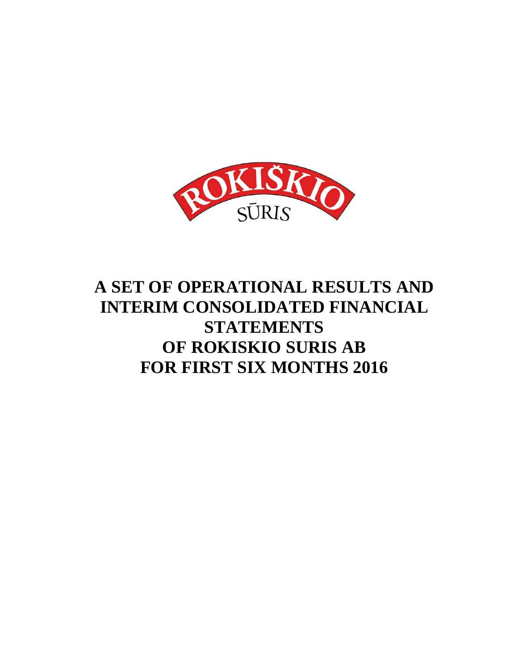

# **A SET OF OPERATIONAL RESULTS AND INTERIM CONSOLIDATED FINANCIAL STATEMENTS OF ROKISKIO SURIS AB FOR FIRST SIX MONTHS 2016**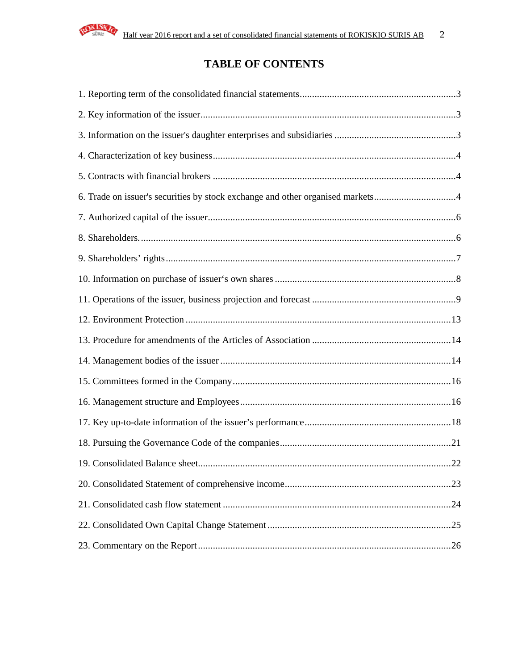

## **TABLE OF CONTENTS**

| 6. Trade on issuer's securities by stock exchange and other organised markets4 |  |
|--------------------------------------------------------------------------------|--|
|                                                                                |  |
|                                                                                |  |
|                                                                                |  |
|                                                                                |  |
|                                                                                |  |
|                                                                                |  |
|                                                                                |  |
|                                                                                |  |
|                                                                                |  |
|                                                                                |  |
|                                                                                |  |
|                                                                                |  |
|                                                                                |  |
|                                                                                |  |
|                                                                                |  |
|                                                                                |  |
|                                                                                |  |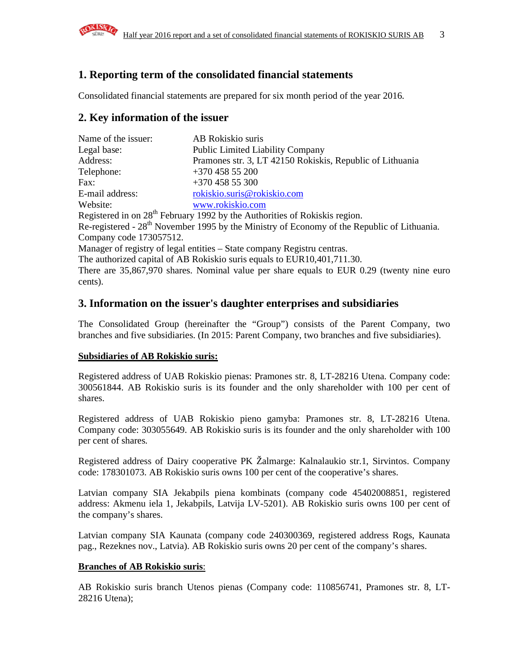

### **1. Reporting term of the consolidated financial statements**

Consolidated financial statements are prepared for six month period of the year 2016.

### **2. Key information of the issuer**

| Name of the issuer: | AB Rokiskio suris                                         |
|---------------------|-----------------------------------------------------------|
| Legal base:         | <b>Public Limited Liability Company</b>                   |
| Address:            | Pramones str. 3, LT 42150 Rokiskis, Republic of Lithuania |
| Telephone:          | $+370$ 458 55 200                                         |
| Fax:                | $+37045855300$                                            |
| E-mail address:     | rokiskio.suris@rokiskio.com                               |
| Website:            | www.rokiskio.com                                          |

Registered in on  $28<sup>th</sup>$  February 1992 by the Authorities of Rokiskis region. Re-registered - 28<sup>th</sup> November 1995 by the Ministry of Economy of the Republic of Lithuania. Company code 173057512.

Manager of registry of legal entities – State company Registru centras.

The authorized capital of AB Rokiskio suris equals to EUR10,401,711.30.

There are 35,867,970 shares. Nominal value per share equals to EUR 0.29 (twenty nine euro cents).

### **3. Information on the issuer's daughter enterprises and subsidiaries**

The Consolidated Group (hereinafter the "Group") consists of the Parent Company, two branches and five subsidiaries. (In 2015: Parent Company, two branches and five subsidiaries).

#### **Subsidiaries of AB Rokiskio suris:**

Registered address of UAB Rokiskio pienas: Pramones str. 8, LT-28216 Utena. Company code: 300561844. AB Rokiskio suris is its founder and the only shareholder with 100 per cent of shares.

Registered address of UAB Rokiskio pieno gamyba: Pramones str. 8, LT-28216 Utena. Company code: 303055649. AB Rokiskio suris is its founder and the only shareholder with 100 per cent of shares.

Registered address of Dairy cooperative PK Žalmarge: Kalnalaukio str.1, Sirvintos. Company code: 178301073. AB Rokiskio suris owns 100 per cent of the cooperative's shares.

Latvian company SIA Jekabpils piena kombinats (company code 45402008851, registered address: Akmenu iela 1, Jekabpils, Latvija LV-5201). AB Rokiskio suris owns 100 per cent of the company's shares.

Latvian company SIA Kaunata (company code 240300369, registered address Rogs, Kaunata pag., Rezeknes nov., Latvia). AB Rokiskio suris owns 20 per cent of the company's shares.

#### **Branches of AB Rokiskio suris**:

AB Rokiskio suris branch Utenos pienas (Company code: 110856741, Pramones str. 8, LT-28216 Utena);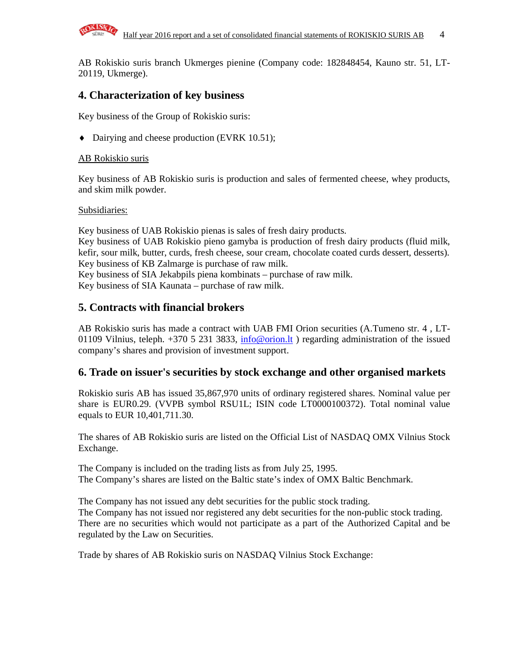

AB Rokiskio suris branch Ukmerges pienine (Company code: 182848454, Kauno str. 51, LT-20119, Ukmerge).

### **4. Characterization of key business**

Key business of the Group of Rokiskio suris:

♦ Dairying and cheese production (EVRK 10.51);

### AB Rokiskio suris

Key business of AB Rokiskio suris is production and sales of fermented cheese, whey products, and skim milk powder.

#### Subsidiaries:

Key business of UAB Rokiskio pienas is sales of fresh dairy products. Key business of UAB Rokiskio pieno gamyba is production of fresh dairy products (fluid milk, kefir, sour milk, butter, curds, fresh cheese, sour cream, chocolate coated curds dessert, desserts). Key business of KB Zalmarge is purchase of raw milk.

Key business of SIA Jekabpils piena kombinats – purchase of raw milk.

Key business of SIA Kaunata – purchase of raw milk.

### **5. Contracts with financial brokers**

AB Rokiskio suris has made a contract with UAB FMI Orion securities (A.Tumeno str. 4 , LT-01109 Vilnius, teleph.  $+370$  5 231 3833, info@orion.lt ) regarding administration of the issued company's shares and provision of investment support.

### **6. Trade on issuer's securities by stock exchange and other organised markets**

Rokiskio suris AB has issued 35,867,970 units of ordinary registered shares. Nominal value per share is EUR0.29. (VVPB symbol RSU1L; ISIN code LT0000100372). Total nominal value equals to EUR 10,401,711.30.

The shares of AB Rokiskio suris are listed on the Official List of NASDAQ OMX Vilnius Stock Exchange.

The Company is included on the trading lists as from July 25, 1995. The Company's shares are listed on the Baltic state's index of OMX Baltic Benchmark.

The Company has not issued any debt securities for the public stock trading. The Company has not issued nor registered any debt securities for the non-public stock trading. There are no securities which would not participate as a part of the Authorized Capital and be regulated by the Law on Securities.

Trade by shares of AB Rokiskio suris on NASDAQ Vilnius Stock Exchange: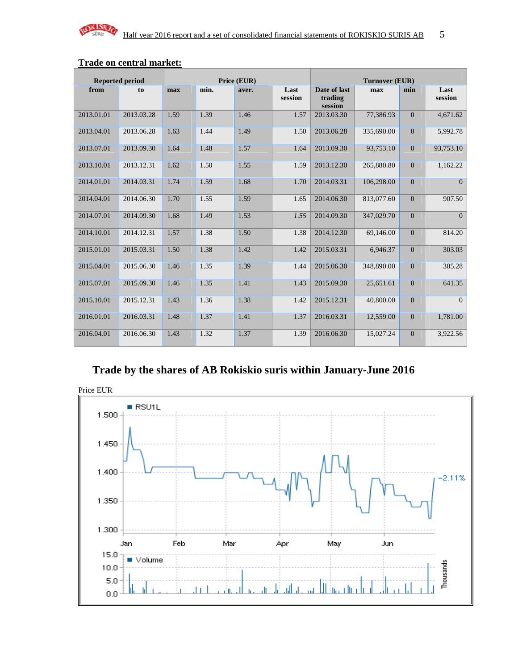

|            | <b>Reported period</b> |      |      | Price (EUR) |                 |                                    | <b>Turnover (EUR)</b> |                |                 |
|------------|------------------------|------|------|-------------|-----------------|------------------------------------|-----------------------|----------------|-----------------|
| from       | to                     | max  | min. | aver.       | Last<br>session | Date of last<br>trading<br>session | max                   | min            | Last<br>session |
| 2013.01.01 | 2013.03.28             | 1.59 | 1.39 | 1.46        | 1.57            | 2013.03.30                         | 77,386.93             | $\mathbf{0}$   | 4,671.62        |
| 2013.04.01 | 2013.06.28             | 1.63 | 1.44 | 1.49        | 1.50            | 2013.06.28                         | 335,690.00            | $\overline{0}$ | 5,992.78        |
| 2013.07.01 | 2013.09.30             | 1.64 | 1.48 | 1.57        | 1.64            | 2013.09.30                         | 93,753.10             | $\overline{0}$ | 93,753.10       |
| 2013.10.01 | 2013.12.31             | 1.62 | 1.50 | 1.55        | 1.59            | 2013.12.30                         | 265,880.80            | $\mathbf{0}$   | 1,162.22        |
| 2014.01.01 | 2014.03.31             | 1.74 | 1.59 | 1.68        | 1.70            | 2014.03.31                         | 106,298.00            | $\mathbf{0}$   | $\overline{0}$  |
| 2014.04.01 | 2014.06.30             | 1.70 | 1.55 | 1.59        | 1.65            | 2014.06.30                         | 813,077.60            | $\overline{0}$ | 907.50          |
| 2014.07.01 | 2014.09.30             | 1.68 | 1.49 | 1.53        | 1.55            | 2014.09.30                         | 347,029.70            | $\overline{0}$ | $\overline{0}$  |
| 2014.10.01 | 2014.12.31             | 1.57 | 1.38 | 1.50        | 1.38            | 2014.12.30                         | 69,146.00             | $\mathbf{0}$   | 814.20          |
| 2015.01.01 | 2015.03.31             | 1.50 | 1.38 | 1.42        | 1.42            | 2015.03.31                         | 6,946.37              | $\overline{0}$ | 303.03          |
| 2015.04.01 | 2015.06.30             | 1.46 | 1.35 | 1.39        | 1.44            | 2015.06.30                         | 348,890.00            | $\overline{0}$ | 305.28          |
| 2015.07.01 | 2015.09.30             | 1.46 | 1.35 | 1.41        | 1.43            | 2015.09.30                         | 25,651.61             | $\overline{0}$ | 641.35          |
| 2015.10.01 | 2015.12.31             | 1.43 | 1.36 | 1.38        | 1.42            | 2015.12.31                         | 40,800.00             | $\overline{0}$ | $\overline{0}$  |
| 2016.01.01 | 2016.03.31             | 1.48 | 1.37 | 1.41        | 1.37            | 2016.03.31                         | 12,559.00             | $\mathbf{0}$   | 1,781.00        |
| 2016.04.01 | 2016.06.30             | 1.43 | 1.32 | 1.37        | 1.39            | 2016.06.30                         | 15,027.24             | $\overline{0}$ | 3,922.56        |

### **Trade on central market:**

# **Trade by the shares of AB Rokiskio suris within January-June 2016**

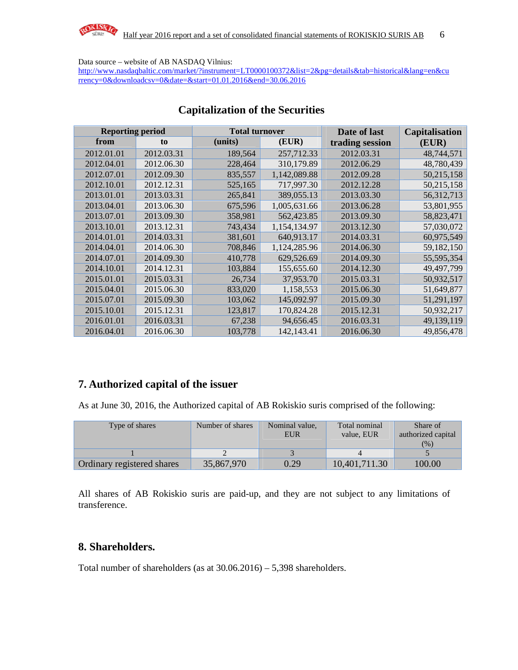

Data source – website of AB NASDAQ Vilnius:

http://www.nasdaqbaltic.com/market/?instrument=LT0000100372&list=2&pg=details&tab=historical&lang=en&cu rrency=0&downloadcsv=0&date=&start=01.01.2016&end=30.06.2016

|            | <b>Reporting period</b> |         | <b>Total turnover</b> |                 | <b>Capitalisation</b> |
|------------|-------------------------|---------|-----------------------|-----------------|-----------------------|
| from       | to                      | (units) | (EUR)                 | trading session | (EUR)                 |
| 2012.01.01 | 2012.03.31              | 189,564 | 257,712.33            | 2012.03.31      | 48,744,571            |
| 2012.04.01 | 2012.06.30              | 228,464 | 310,179.89            | 2012.06.29      | 48,780,439            |
| 2012.07.01 | 2012.09.30              | 835,557 | 1,142,089.88          | 2012.09.28      | 50,215,158            |
| 2012.10.01 | 2012.12.31              | 525,165 | 717,997.30            | 2012.12.28      | 50,215,158            |
| 2013.01.01 | 2013.03.31              | 265,841 | 389,055.13            | 2013.03.30      | 56,312,713            |
| 2013.04.01 | 2013.06.30              | 675,596 | 1,005,631.66          | 2013.06.28      | 53,801,955            |
| 2013.07.01 | 2013.09.30              | 358,981 | 562,423.85            | 2013.09.30      | 58,823,471            |
| 2013.10.01 | 2013.12.31              | 743,434 | 1,154,134.97          | 2013.12.30      | 57,030,072            |
| 2014.01.01 | 2014.03.31              | 381,601 | 640,913.17            | 2014.03.31      | 60,975,549            |
| 2014.04.01 | 2014.06.30              | 708,846 | 1,124,285.96          | 2014.06.30      | 59,182,150            |
| 2014.07.01 | 2014.09.30              | 410,778 | 629,526.69            | 2014.09.30      | 55,595,354            |
| 2014.10.01 | 2014.12.31              | 103,884 | 155,655.60            | 2014.12.30      | 49,497,799            |
| 2015.01.01 | 2015.03.31              | 26,734  | 37,953.70             | 2015.03.31      | 50,932,517            |
| 2015.04.01 | 2015.06.30              | 833,020 | 1,158,553             | 2015.06.30      | 51,649,877            |
| 2015.07.01 | 2015.09.30              | 103,062 | 145,092.97            | 2015.09.30      | 51,291,197            |
| 2015.10.01 | 2015.12.31              | 123,817 | 170,824.28            | 2015.12.31      | 50,932,217            |
| 2016.01.01 | 2016.03.31              | 67,238  | 94,656.45             | 2016.03.31      | 49,139,119            |
| 2016.04.01 | 2016.06.30              | 103,778 | 142, 143. 41          | 2016.06.30      | 49,856,478            |

### **Capitalization of the Securities**

### **7. Authorized capital of the issuer**

As at June 30, 2016, the Authorized capital of AB Rokiskio suris comprised of the following:

| Type of shares             | Number of shares | Nominal value,<br><b>EUR</b> | Total nominal<br>value. EUR | Share of<br>authorized capital<br>(% ) |
|----------------------------|------------------|------------------------------|-----------------------------|----------------------------------------|
|                            |                  |                              |                             |                                        |
| Ordinary registered shares | 35,867,970       | 0.29                         | 10,401,711.30               | 100.00                                 |

All shares of AB Rokiskio suris are paid-up, and they are not subject to any limitations of transference.

### **8. Shareholders.**

Total number of shareholders (as at 30.06.2016) – 5,398 shareholders.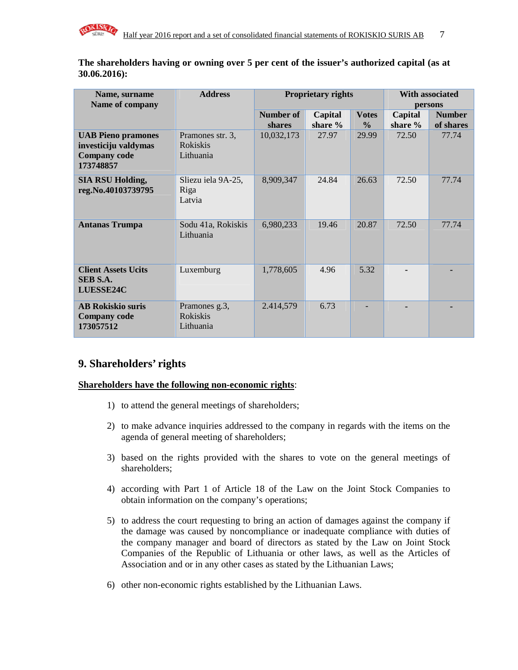

**The shareholders having or owning over 5 per cent of the issuer's authorized capital (as at 30.06.2016):** 

| Name, surname                                                                         | <b>Address</b>                                   |            | <b>Proprietary rights</b> | <b>With associated</b> |           |               |
|---------------------------------------------------------------------------------------|--------------------------------------------------|------------|---------------------------|------------------------|-----------|---------------|
| Name of company                                                                       |                                                  |            |                           |                        | persons   |               |
|                                                                                       |                                                  | Number of  | Capital                   | <b>Votes</b>           | Capital   | <b>Number</b> |
|                                                                                       |                                                  | shares     | share %                   | $\frac{0}{0}$          | share $%$ | of shares     |
| <b>UAB Pieno pramones</b><br>investiciju valdymas<br><b>Company code</b><br>173748857 | Pramones str. 3,<br><b>Rokiskis</b><br>Lithuania | 10,032,173 | 27.97                     | 29.99                  | 72.50     | 77.74         |
| <b>SIA RSU Holding,</b><br>reg.No.40103739795                                         | Sliezu iela 9A-25,<br>Riga<br>Latvia             | 8,909,347  | 24.84                     | 26.63                  | 72.50     | 77.74         |
| <b>Antanas Trumpa</b>                                                                 | Sodu 41a, Rokiskis<br>Lithuania                  | 6,980,233  | 19.46                     | 20.87                  | 72.50     | 77.74         |
| <b>Client Assets Ucits</b><br>SEB S.A.<br><b>LUESSE24C</b>                            | Luxemburg                                        | 1,778,605  | 4.96                      | 5.32                   |           |               |
| <b>AB Rokiskio suris</b><br><b>Company code</b><br>173057512                          | Pramones g.3,<br><b>Rokiskis</b><br>Lithuania    | 2.414,579  | 6.73                      |                        |           |               |

### **9. Shareholders' rights**

#### **Shareholders have the following non-economic rights**:

- 1) to attend the general meetings of shareholders;
- 2) to make advance inquiries addressed to the company in regards with the items on the agenda of general meeting of shareholders;
- 3) based on the rights provided with the shares to vote on the general meetings of shareholders;
- 4) according with Part 1 of Article 18 of the Law on the Joint Stock Companies to obtain information on the company's operations;
- 5) to address the court requesting to bring an action of damages against the company if the damage was caused by noncompliance or inadequate compliance with duties of the company manager and board of directors as stated by the Law on Joint Stock Companies of the Republic of Lithuania or other laws, as well as the Articles of Association and or in any other cases as stated by the Lithuanian Laws;
- 6) other non-economic rights established by the Lithuanian Laws.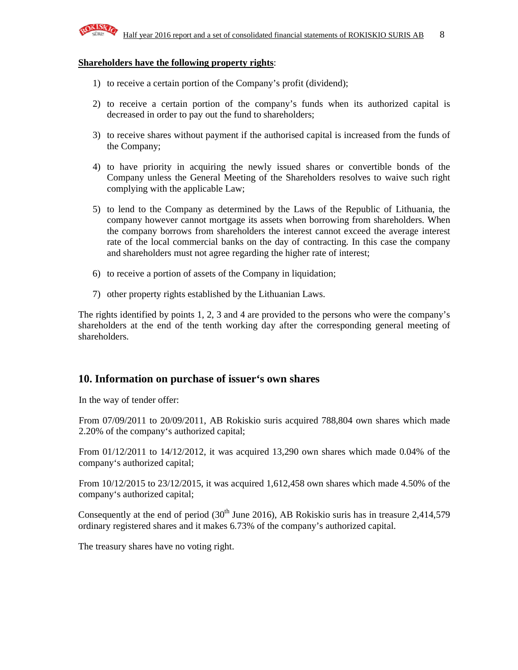

#### **Shareholders have the following property rights**:

- 1) to receive a certain portion of the Company's profit (dividend);
- 2) to receive a certain portion of the company's funds when its authorized capital is decreased in order to pay out the fund to shareholders;
- 3) to receive shares without payment if the authorised capital is increased from the funds of the Company;
- 4) to have priority in acquiring the newly issued shares or convertible bonds of the Company unless the General Meeting of the Shareholders resolves to waive such right complying with the applicable Law;
- 5) to lend to the Company as determined by the Laws of the Republic of Lithuania, the company however cannot mortgage its assets when borrowing from shareholders. When the company borrows from shareholders the interest cannot exceed the average interest rate of the local commercial banks on the day of contracting. In this case the company and shareholders must not agree regarding the higher rate of interest;
- 6) to receive a portion of assets of the Company in liquidation;
- 7) other property rights established by the Lithuanian Laws.

The rights identified by points 1, 2, 3 and 4 are provided to the persons who were the company's shareholders at the end of the tenth working day after the corresponding general meeting of shareholders.

### **10. Information on purchase of issuer's own shares**

In the way of tender offer:

From 07/09/2011 to 20/09/2011, AB Rokiskio suris acquired 788,804 own shares which made 2.20% of the company's authorized capital;

From 01/12/2011 to 14/12/2012, it was acquired 13,290 own shares which made 0.04% of the company's authorized capital;

From 10/12/2015 to 23/12/2015, it was acquired 1,612,458 own shares which made 4.50% of the company's authorized capital;

Consequently at the end of period  $(30<sup>th</sup>$  June 2016), AB Rokiskio suris has in treasure 2,414,579 ordinary registered shares and it makes 6.73% of the company's authorized capital.

The treasury shares have no voting right.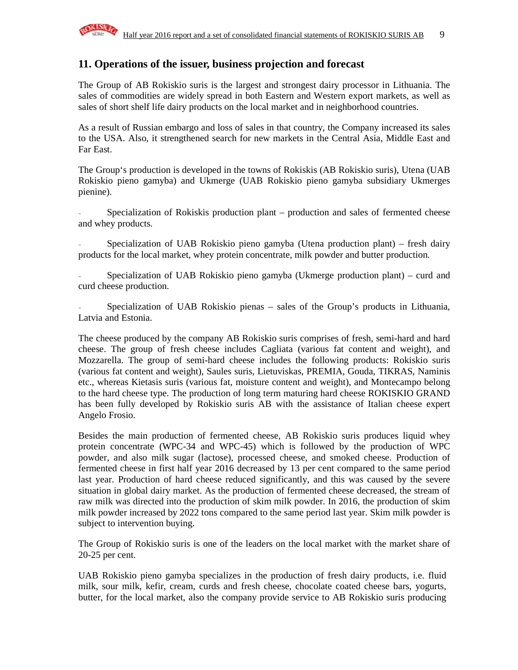

### **11. Operations of the issuer, business projection and forecast**

The Group of AB Rokiskio suris is the largest and strongest dairy processor in Lithuania. The sales of commodities are widely spread in both Eastern and Western export markets, as well as sales of short shelf life dairy products on the local market and in neighborhood countries.

As a result of Russian embargo and loss of sales in that country, the Company increased its sales to the USA. Also, it strengthened search for new markets in the Central Asia, Middle East and Far East.

The Group's production is developed in the towns of Rokiskis (AB Rokiskio suris), Utena (UAB Rokiskio pieno gamyba) and Ukmerge (UAB Rokiskio pieno gamyba subsidiary Ukmerges pienine).

Specialization of Rokiskis production plant – production and sales of fermented cheese and whey products.

Specialization of UAB Rokiskio pieno gamyba (Utena production plant) – fresh dairy products for the local market, whey protein concentrate, milk powder and butter production.

- Specialization of UAB Rokiskio pieno gamyba (Ukmerge production plant) – curd and curd cheese production.

Specialization of UAB Rokiskio pienas – sales of the Group's products in Lithuania, Latvia and Estonia.

The cheese produced by the company AB Rokiskio suris comprises of fresh, semi-hard and hard cheese. The group of fresh cheese includes Cagliata (various fat content and weight), and Mozzarella. The group of semi-hard cheese includes the following products: Rokiskio suris (various fat content and weight), Saules suris, Lietuviskas, PREMIA, Gouda, TIKRAS, Naminis etc., whereas Kietasis suris (various fat, moisture content and weight), and Montecampo belong to the hard cheese type. The production of long term maturing hard cheese ROKISKIO GRAND has been fully developed by Rokiskio suris AB with the assistance of Italian cheese expert Angelo Frosio.

Besides the main production of fermented cheese, AB Rokiskio suris produces liquid whey protein concentrate (WPC-34 and WPC-45) which is followed by the production of WPC powder, and also milk sugar (lactose), processed cheese, and smoked cheese. Production of fermented cheese in first half year 2016 decreased by 13 per cent compared to the same period last year. Production of hard cheese reduced significantly, and this was caused by the severe situation in global dairy market. As the production of fermented cheese decreased, the stream of raw milk was directed into the production of skim milk powder. In 2016, the production of skim milk powder increased by 2022 tons compared to the same period last year. Skim milk powder is subject to intervention buying.

The Group of Rokiskio suris is one of the leaders on the local market with the market share of 20-25 per cent.

UAB Rokiskio pieno gamyba specializes in the production of fresh dairy products, i.e. fluid milk, sour milk, kefir, cream, curds and fresh cheese, chocolate coated cheese bars, yogurts, butter, for the local market, also the company provide service to AB Rokiskio suris producing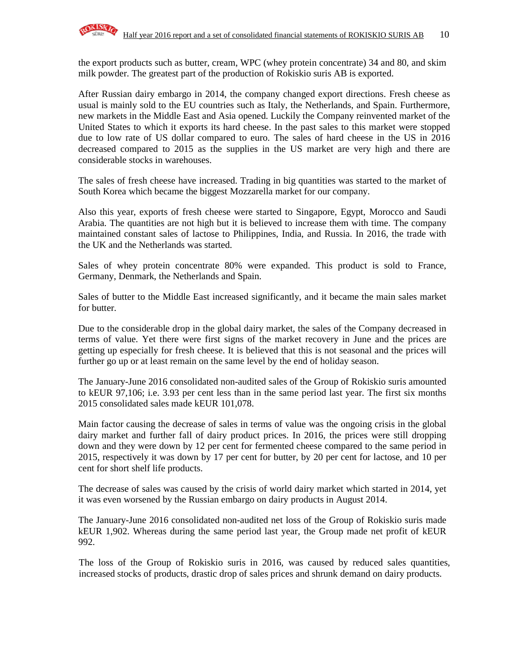the export products such as butter, cream, WPC (whey protein concentrate) 34 and 80, and skim milk powder. The greatest part of the production of Rokiskio suris AB is exported.

After Russian dairy embargo in 2014, the company changed export directions. Fresh cheese as usual is mainly sold to the EU countries such as Italy, the Netherlands, and Spain. Furthermore, new markets in the Middle East and Asia opened. Luckily the Company reinvented market of the United States to which it exports its hard cheese. In the past sales to this market were stopped due to low rate of US dollar compared to euro. The sales of hard cheese in the US in 2016 decreased compared to 2015 as the supplies in the US market are very high and there are considerable stocks in warehouses.

The sales of fresh cheese have increased. Trading in big quantities was started to the market of South Korea which became the biggest Mozzarella market for our company.

Also this year, exports of fresh cheese were started to Singapore, Egypt, Morocco and Saudi Arabia. The quantities are not high but it is believed to increase them with time. The company maintained constant sales of lactose to Philippines, India, and Russia. In 2016, the trade with the UK and the Netherlands was started.

Sales of whey protein concentrate 80% were expanded. This product is sold to France, Germany, Denmark, the Netherlands and Spain.

Sales of butter to the Middle East increased significantly, and it became the main sales market for butter.

Due to the considerable drop in the global dairy market, the sales of the Company decreased in terms of value. Yet there were first signs of the market recovery in June and the prices are getting up especially for fresh cheese. It is believed that this is not seasonal and the prices will further go up or at least remain on the same level by the end of holiday season.

The January-June 2016 consolidated non-audited sales of the Group of Rokiskio suris amounted to kEUR 97,106; i.e. 3.93 per cent less than in the same period last year. The first six months 2015 consolidated sales made kEUR 101,078.

Main factor causing the decrease of sales in terms of value was the ongoing crisis in the global dairy market and further fall of dairy product prices. In 2016, the prices were still dropping down and they were down by 12 per cent for fermented cheese compared to the same period in 2015, respectively it was down by 17 per cent for butter, by 20 per cent for lactose, and 10 per cent for short shelf life products.

The decrease of sales was caused by the crisis of world dairy market which started in 2014, yet it was even worsened by the Russian embargo on dairy products in August 2014.

The January-June 2016 consolidated non-audited net loss of the Group of Rokiskio suris made kEUR 1,902. Whereas during the same period last year, the Group made net profit of kEUR 992.

The loss of the Group of Rokiskio suris in 2016, was caused by reduced sales quantities, increased stocks of products, drastic drop of sales prices and shrunk demand on dairy products.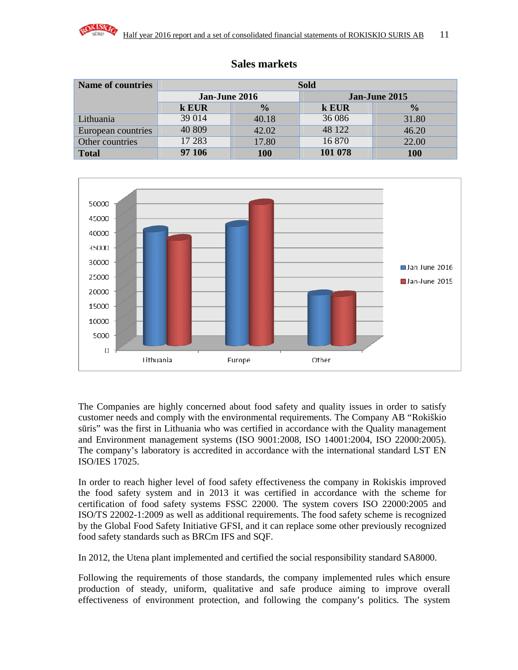

| <b>Name of countries</b> | <b>Sold</b>   |               |         |               |  |  |
|--------------------------|---------------|---------------|---------|---------------|--|--|
|                          | Jan-June 2016 |               |         | Jan-June 2015 |  |  |
|                          | k EUR         | $\frac{0}{0}$ | k EUR   | $\frac{0}{0}$ |  |  |
| Lithuania                | 39 014        | 40.18         | 36 086  | 31.80         |  |  |
| European countries       | 40 809        | 42.02         | 48 122  | 46.20         |  |  |
| Other countries          | 17 283        | 17.80         | 16 870  | 22.00         |  |  |
| <b>Total</b>             | 97 106        | 100           | 101 078 | 100           |  |  |

### **Sales markets**



The Companies are highly concerned about food safety and quality issues in order to satisfy customer needs and comply with the environmental requirements. The Company AB "Rokiškio sūris" was the first in Lithuania who was certified in accordance with the Quality management and Environment management systems (ISO 9001:2008, ISO 14001:2004, ISO 22000:2005). The company's laboratory is accredited in accordance with the international standard LST EN ISO/IES 17025.

In order to reach higher level of food safety effectiveness the company in Rokiskis improved the food safety system and in 2013 it was certified in accordance with the scheme for certification of food safety systems FSSC 22000. The system covers ISO 22000:2005 and ISO/TS 22002-1:2009 as well as additional requirements. The food safety scheme is recognized by the Global Food Safety Initiative GFSI, and it can replace some other previously recognized food safety standards such as BRCm IFS and SQF.

In 2012, the Utena plant implemented and certified the social responsibility standard SA8000.

Following the requirements of those standards, the company implemented rules which ensure production of steady, uniform, qualitative and safe produce aiming to improve overall effectiveness of environment protection, and following the company's politics. The system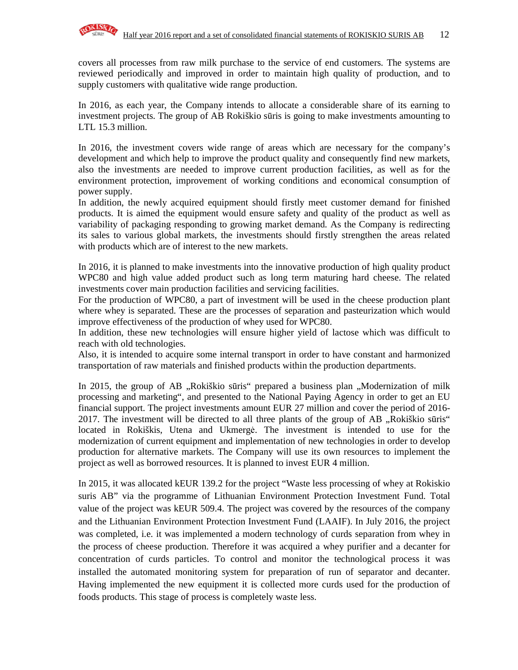

covers all processes from raw milk purchase to the service of end customers. The systems are reviewed periodically and improved in order to maintain high quality of production, and to supply customers with qualitative wide range production.

In 2016, as each year, the Company intends to allocate a considerable share of its earning to investment projects. The group of AB Rokiškio sūris is going to make investments amounting to LTL 15.3 million.

In 2016, the investment covers wide range of areas which are necessary for the company's development and which help to improve the product quality and consequently find new markets, also the investments are needed to improve current production facilities, as well as for the environment protection, improvement of working conditions and economical consumption of power supply.

In addition, the newly acquired equipment should firstly meet customer demand for finished products. It is aimed the equipment would ensure safety and quality of the product as well as variability of packaging responding to growing market demand. As the Company is redirecting its sales to various global markets, the investments should firstly strengthen the areas related with products which are of interest to the new markets.

In 2016, it is planned to make investments into the innovative production of high quality product WPC80 and high value added product such as long term maturing hard cheese. The related investments cover main production facilities and servicing facilities.

For the production of WPC80, a part of investment will be used in the cheese production plant where whey is separated. These are the processes of separation and pasteurization which would improve effectiveness of the production of whey used for WPC80.

In addition, these new technologies will ensure higher yield of lactose which was difficult to reach with old technologies.

Also, it is intended to acquire some internal transport in order to have constant and harmonized transportation of raw materials and finished products within the production departments.

In 2015, the group of AB "Rokiškio sūris" prepared a business plan "Modernization of milk processing and marketing", and presented to the National Paying Agency in order to get an EU financial support. The project investments amount EUR 27 million and cover the period of 2016- 2017. The investment will be directed to all three plants of the group of AB "Rokiškio sūris" located in Rokiškis, Utena and Ukmergė. The investment is intended to use for the modernization of current equipment and implementation of new technologies in order to develop production for alternative markets. The Company will use its own resources to implement the project as well as borrowed resources. It is planned to invest EUR 4 million.

In 2015, it was allocated kEUR 139.2 for the project "Waste less processing of whey at Rokiskio suris AB" via the programme of Lithuanian Environment Protection Investment Fund. Total value of the project was kEUR 509.4. The project was covered by the resources of the company and the Lithuanian Environment Protection Investment Fund (LAAIF). In July 2016, the project was completed, i.e. it was implemented a modern technology of curds separation from whey in the process of cheese production. Therefore it was acquired a whey purifier and a decanter for concentration of curds particles. To control and monitor the technological process it was installed the automated monitoring system for preparation of run of separator and decanter. Having implemented the new equipment it is collected more curds used for the production of foods products. This stage of process is completely waste less.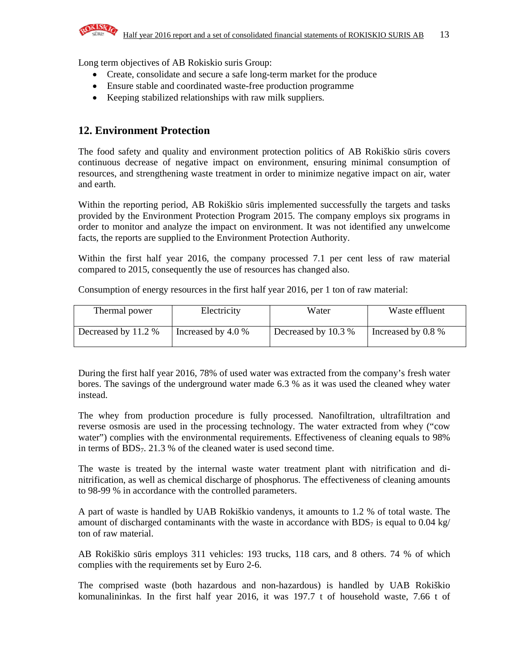

Long term objectives of AB Rokiskio suris Group:

- Create, consolidate and secure a safe long-term market for the produce
- Ensure stable and coordinated waste-free production programme
- Keeping stabilized relationships with raw milk suppliers.

### **12. Environment Protection**

The food safety and quality and environment protection politics of AB Rokiškio sūris covers continuous decrease of negative impact on environment, ensuring minimal consumption of resources, and strengthening waste treatment in order to minimize negative impact on air, water and earth.

Within the reporting period, AB Rokiškio sūris implemented successfully the targets and tasks provided by the Environment Protection Program 2015. The company employs six programs in order to monitor and analyze the impact on environment. It was not identified any unwelcome facts, the reports are supplied to the Environment Protection Authority.

Within the first half year 2016, the company processed 7.1 per cent less of raw material compared to 2015, consequently the use of resources has changed also.

Consumption of energy resources in the first half year 2016, per 1 ton of raw material:

| Thermal power       | Electricity        | Water               | Waste effluent     |
|---------------------|--------------------|---------------------|--------------------|
| Decreased by 11.2 % | Increased by 4.0 % | Decreased by 10.3 % | Increased by 0.8 % |

During the first half year 2016, 78% of used water was extracted from the company's fresh water bores. The savings of the underground water made 6.3 % as it was used the cleaned whey water instead.

The whey from production procedure is fully processed. Nanofiltration, ultrafiltration and reverse osmosis are used in the processing technology. The water extracted from whey ("cow water") complies with the environmental requirements. Effectiveness of cleaning equals to 98% in terms of BDS7. 21.3 % of the cleaned water is used second time.

The waste is treated by the internal waste water treatment plant with nitrification and dinitrification, as well as chemical discharge of phosphorus. The effectiveness of cleaning amounts to 98-99 % in accordance with the controlled parameters.

A part of waste is handled by UAB Rokiškio vandenys, it amounts to 1.2 % of total waste. The amount of discharged contaminants with the waste in accordance with BDS<sub>7</sub> is equal to 0.04 kg/ ton of raw material.

AB Rokiškio sūris employs 311 vehicles: 193 trucks, 118 cars, and 8 others. 74 % of which complies with the requirements set by Euro 2-6.

The comprised waste (both hazardous and non-hazardous) is handled by UAB Rokiškio komunalininkas. In the first half year 2016, it was 197.7 t of household waste, 7.66 t of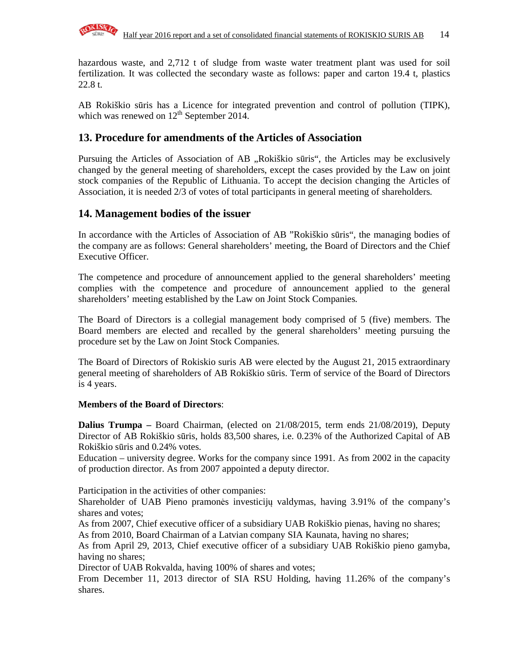

hazardous waste, and 2,712 t of sludge from waste water treatment plant was used for soil fertilization. It was collected the secondary waste as follows: paper and carton 19.4 t, plastics 22.8 t.

AB Rokiškio sūris has a Licence for integrated prevention and control of pollution (TIPK), which was renewed on  $12^{th}$  September 2014.

### **13. Procedure for amendments of the Articles of Association**

Pursuing the Articles of Association of AB , Rokiškio sūris", the Articles may be exclusively changed by the general meeting of shareholders, except the cases provided by the Law on joint stock companies of the Republic of Lithuania. To accept the decision changing the Articles of Association, it is needed 2/3 of votes of total participants in general meeting of shareholders.

### **14. Management bodies of the issuer**

In accordance with the Articles of Association of AB "Rokiškio sūris", the managing bodies of the company are as follows: General shareholders' meeting, the Board of Directors and the Chief Executive Officer.

The competence and procedure of announcement applied to the general shareholders' meeting complies with the competence and procedure of announcement applied to the general shareholders' meeting established by the Law on Joint Stock Companies.

The Board of Directors is a collegial management body comprised of 5 (five) members. The Board members are elected and recalled by the general shareholders' meeting pursuing the procedure set by the Law on Joint Stock Companies.

The Board of Directors of Rokiskio suris AB were elected by the August 21, 2015 extraordinary general meeting of shareholders of AB Rokiškio sūris. Term of service of the Board of Directors is 4 years.

#### **Members of the Board of Directors**:

**Dalius Trumpa –** Board Chairman, (elected on 21/08/2015, term ends 21/08/2019), Deputy Director of AB Rokiškio sūris, holds 83,500 shares, i.e. 0.23% of the Authorized Capital of AB Rokiškio sūris and 0.24% votes.

Education – university degree. Works for the company since 1991. As from 2002 in the capacity of production director. As from 2007 appointed a deputy director.

Participation in the activities of other companies:

Shareholder of UAB Pieno pramonės investicijų valdymas, having 3.91% of the company's shares and votes;

As from 2007, Chief executive officer of a subsidiary UAB Rokiškio pienas, having no shares; As from 2010, Board Chairman of a Latvian company SIA Kaunata, having no shares;

As from April 29, 2013, Chief executive officer of a subsidiary UAB Rokiškio pieno gamyba, having no shares;

Director of UAB Rokvalda, having 100% of shares and votes;

From December 11, 2013 director of SIA RSU Holding, having 11.26% of the company's shares.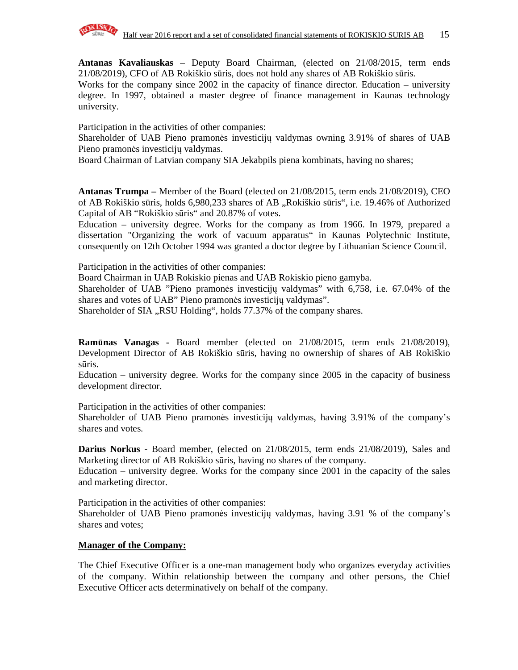

**Antanas Kavaliauskas** – Deputy Board Chairman, (elected on 21/08/2015, term ends 21/08/2019), CFO of AB Rokiškio sūris, does not hold any shares of AB Rokiškio sūris.

Works for the company since 2002 in the capacity of finance director. Education – university degree. In 1997, obtained a master degree of finance management in Kaunas technology university.

Participation in the activities of other companies:

Shareholder of UAB Pieno pramonės investicijų valdymas owning 3.91% of shares of UAB Pieno pramonės investicijų valdymas.

Board Chairman of Latvian company SIA Jekabpils piena kombinats, having no shares;

**Antanas Trumpa –** Member of the Board (elected on 21/08/2015, term ends 21/08/2019), CEO of AB Rokiškio sūris, holds 6,980,233 shares of AB "Rokiškio sūris", i.e. 19.46% of Authorized Capital of AB "Rokiškio sūris" and 20.87% of votes.

Education – university degree. Works for the company as from 1966. In 1979, prepared a dissertation "Organizing the work of vacuum apparatus" in Kaunas Polytechnic Institute, consequently on 12th October 1994 was granted a doctor degree by Lithuanian Science Council.

Participation in the activities of other companies:

Board Chairman in UAB Rokiskio pienas and UAB Rokiskio pieno gamyba.

Shareholder of UAB "Pieno pramonės investicijų valdymas" with 6,758, i.e. 67.04% of the shares and votes of UAB" Pieno pramonės investicijų valdymas".

Shareholder of SIA "RSU Holding", holds 77.37% of the company shares.

**Ram**ū**nas Vanagas -** Board member (elected on 21/08/2015, term ends 21/08/2019), Development Director of AB Rokiškio sūris, having no ownership of shares of AB Rokiškio sūris.

Education – university degree. Works for the company since 2005 in the capacity of business development director.

Participation in the activities of other companies:

Shareholder of UAB Pieno pramonės investicijų valdymas, having 3.91% of the company's shares and votes.

**Darius Norkus -** Board member, (elected on 21/08/2015, term ends 21/08/2019), Sales and Marketing director of AB Rokiškio sūris, having no shares of the company.

Education – university degree. Works for the company since 2001 in the capacity of the sales and marketing director.

Participation in the activities of other companies:

Shareholder of UAB Pieno pramonės investicijų valdymas, having 3.91 % of the company's shares and votes;

#### **Manager of the Company:**

The Chief Executive Officer is a one-man management body who organizes everyday activities of the company. Within relationship between the company and other persons, the Chief Executive Officer acts determinatively on behalf of the company.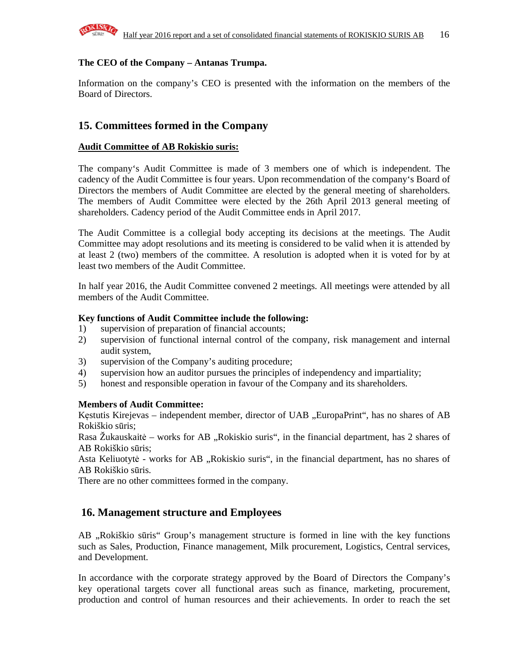

### **The CEO of the Company – Antanas Trumpa.**

Information on the company's CEO is presented with the information on the members of the Board of Directors.

### **15. Committees formed in the Company**

### **Audit Committee of AB Rokiskio suris:**

The company's Audit Committee is made of 3 members one of which is independent. The cadency of the Audit Committee is four years. Upon recommendation of the company's Board of Directors the members of Audit Committee are elected by the general meeting of shareholders. The members of Audit Committee were elected by the 26th April 2013 general meeting of shareholders. Cadency period of the Audit Committee ends in April 2017.

The Audit Committee is a collegial body accepting its decisions at the meetings. The Audit Committee may adopt resolutions and its meeting is considered to be valid when it is attended by at least 2 (two) members of the committee. A resolution is adopted when it is voted for by at least two members of the Audit Committee.

In half year 2016, the Audit Committee convened 2 meetings. All meetings were attended by all members of the Audit Committee.

#### **Key functions of Audit Committee include the following:**

- 1) supervision of preparation of financial accounts;
- 2) supervision of functional internal control of the company, risk management and internal audit system,
- 3) supervision of the Company's auditing procedure;
- 4) supervision how an auditor pursues the principles of independency and impartiality;
- 5) honest and responsible operation in favour of the Company and its shareholders.

#### **Members of Audit Committee:**

Kęstutis Kirejevas – independent member, director of UAB "EuropaPrint", has no shares of AB Rokiškio sūris;

Rasa Žukauskaitė – works for AB "Rokiskio suris", in the financial department, has 2 shares of AB Rokiškio sūris;

Asta Keliuotytė - works for AB "Rokiskio suris", in the financial department, has no shares of AB Rokiškio sūris.

There are no other committees formed in the company.

### **16. Management structure and Employees**

AB "Rokiškio sūris" Group's management structure is formed in line with the key functions such as Sales, Production, Finance management, Milk procurement, Logistics, Central services, and Development.

In accordance with the corporate strategy approved by the Board of Directors the Company's key operational targets cover all functional areas such as finance, marketing, procurement, production and control of human resources and their achievements. In order to reach the set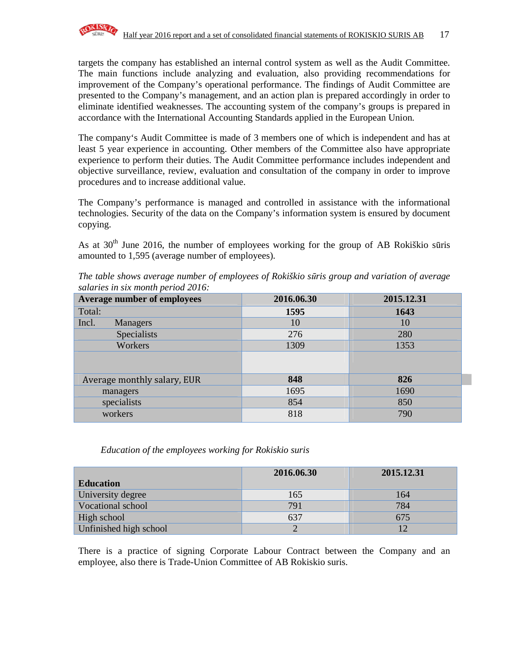

targets the company has established an internal control system as well as the Audit Committee. The main functions include analyzing and evaluation, also providing recommendations for improvement of the Company's operational performance. The findings of Audit Committee are presented to the Company's management, and an action plan is prepared accordingly in order to eliminate identified weaknesses. The accounting system of the company's groups is prepared in accordance with the International Accounting Standards applied in the European Union.

The company's Audit Committee is made of 3 members one of which is independent and has at least 5 year experience in accounting. Other members of the Committee also have appropriate experience to perform their duties. The Audit Committee performance includes independent and objective surveillance, review, evaluation and consultation of the company in order to improve procedures and to increase additional value.

The Company's performance is managed and controlled in assistance with the informational technologies. Security of the data on the Company's information system is ensured by document copying.

As at  $30<sup>th</sup>$  June 2016, the number of employees working for the group of AB Rokiškio sūris amounted to 1,595 (average number of employees).

| Average number of employees | 2016.06.30 | 2015.12.31 |
|-----------------------------|------------|------------|
| Total:                      | 1595       | 1643       |
| Incl.<br>Managers           | 10         | 10         |
| Specialists                 | 276        | 280        |
| Workers                     | 1309       | 1353       |
|                             |            |            |
| Average monthly salary, EUR | 848        | 826        |
| managers                    | 1695       | 1690       |
| specialists                 | 854        | 850        |
| workers                     | 818        | 790        |

*The table shows average number of employees of Rokiškio s*ū*ris group and variation of average salaries in six month period 2016:*

#### *Education of the employees working for Rokiskio suris*

|                        | 2016.06.30 | 2015.12.31 |
|------------------------|------------|------------|
| <b>Education</b>       |            |            |
| University degree      | 165        | 164        |
| Vocational school      | 791        | 784        |
| High school            | 637        | 675        |
| Unfinished high school |            |            |

There is a practice of signing Corporate Labour Contract between the Company and an employee, also there is Trade-Union Committee of AB Rokiskio suris.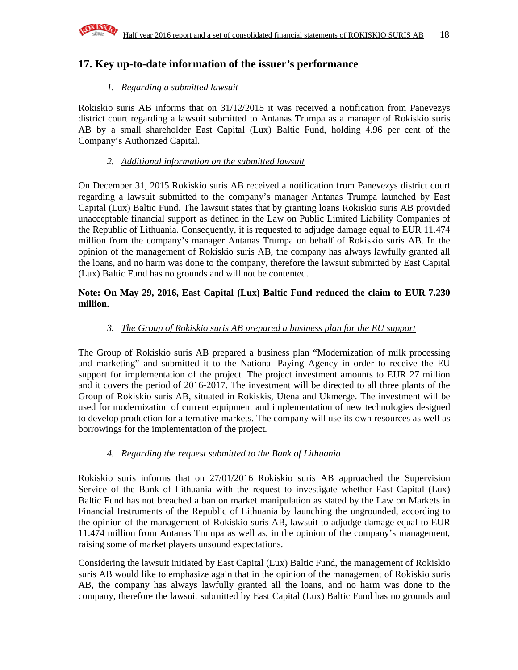

### **17. Key up-to-date information of the issuer's performance**

### *1. Regarding a submitted lawsuit*

Rokiskio suris AB informs that on 31/12/2015 it was received a notification from Panevezys district court regarding a lawsuit submitted to Antanas Trumpa as a manager of Rokiskio suris AB by a small shareholder East Capital (Lux) Baltic Fund, holding 4.96 per cent of the Company's Authorized Capital.

### *2. Additional information on the submitted lawsuit*

On December 31, 2015 Rokiskio suris AB received a notification from Panevezys district court regarding a lawsuit submitted to the company's manager Antanas Trumpa launched by East Capital (Lux) Baltic Fund. The lawsuit states that by granting loans Rokiskio suris AB provided unacceptable financial support as defined in the Law on Public Limited Liability Companies of the Republic of Lithuania. Consequently, it is requested to adjudge damage equal to EUR 11.474 million from the company's manager Antanas Trumpa on behalf of Rokiskio suris AB. In the opinion of the management of Rokiskio suris AB, the company has always lawfully granted all the loans, and no harm was done to the company, therefore the lawsuit submitted by East Capital (Lux) Baltic Fund has no grounds and will not be contented.

### **Note: On May 29, 2016, East Capital (Lux) Baltic Fund reduced the claim to EUR 7.230 million.**

### *3. The Group of Rokiskio suris AB prepared a business plan for the EU support*

The Group of Rokiskio suris AB prepared a business plan "Modernization of milk processing and marketing" and submitted it to the National Paying Agency in order to receive the EU support for implementation of the project. The project investment amounts to EUR 27 million and it covers the period of 2016-2017. The investment will be directed to all three plants of the Group of Rokiskio suris AB, situated in Rokiskis, Utena and Ukmerge. The investment will be used for modernization of current equipment and implementation of new technologies designed to develop production for alternative markets. The company will use its own resources as well as borrowings for the implementation of the project.

### *4. Regarding the request submitted to the Bank of Lithuania*

Rokiskio suris informs that on 27/01/2016 Rokiskio suris AB approached the Supervision Service of the Bank of Lithuania with the request to investigate whether East Capital (Lux) Baltic Fund has not breached a ban on market manipulation as stated by the Law on Markets in Financial Instruments of the Republic of Lithuania by launching the ungrounded, according to the opinion of the management of Rokiskio suris AB, lawsuit to adjudge damage equal to EUR 11.474 million from Antanas Trumpa as well as, in the opinion of the company's management, raising some of market players unsound expectations.

Considering the lawsuit initiated by East Capital (Lux) Baltic Fund, the management of Rokiskio suris AB would like to emphasize again that in the opinion of the management of Rokiskio suris AB, the company has always lawfully granted all the loans, and no harm was done to the company, therefore the lawsuit submitted by East Capital (Lux) Baltic Fund has no grounds and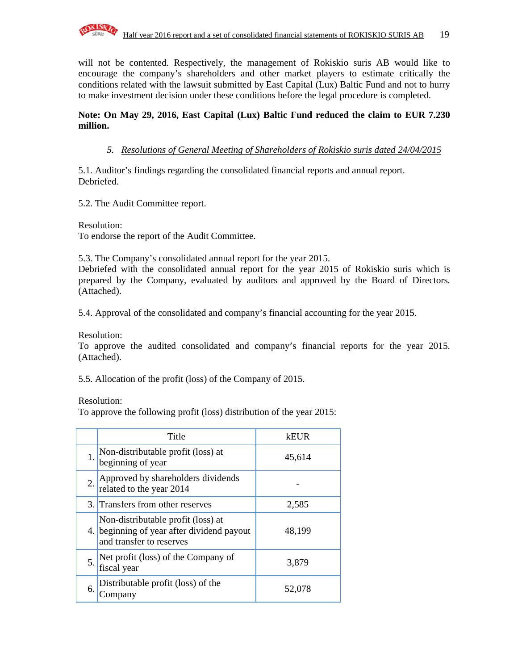

will not be contented. Respectively, the management of Rokiskio suris AB would like to encourage the company's shareholders and other market players to estimate critically the conditions related with the lawsuit submitted by East Capital (Lux) Baltic Fund and not to hurry to make investment decision under these conditions before the legal procedure is completed.

### **Note: On May 29, 2016, East Capital (Lux) Baltic Fund reduced the claim to EUR 7.230 million.**

*5. Resolutions of General Meeting of Shareholders of Rokiskio suris dated 24/04/2015*

5.1. Auditor's findings regarding the consolidated financial reports and annual report. Debriefed.

5.2. The Audit Committee report.

Resolution: To endorse the report of the Audit Committee.

5.3. The Company's consolidated annual report for the year 2015.

Debriefed with the consolidated annual report for the year 2015 of Rokiskio suris which is prepared by the Company, evaluated by auditors and approved by the Board of Directors. (Attached).

5.4. Approval of the consolidated and company's financial accounting for the year 2015.

Resolution:

To approve the audited consolidated and company's financial reports for the year 2015. (Attached).

5.5. Allocation of the profit (loss) of the Company of 2015.

Resolution:

To approve the following profit (loss) distribution of the year 2015:

|     | Title                                                                                                        | keur   |
|-----|--------------------------------------------------------------------------------------------------------------|--------|
| 1.  | Non-distributable profit (loss) at<br>beginning of year                                                      | 45,614 |
| 2.1 | Approved by shareholders dividends<br>related to the year 2014                                               |        |
|     | 3. Transfers from other reserves                                                                             | 2,585  |
|     | Non-distributable profit (loss) at<br>4. beginning of year after dividend payout<br>and transfer to reserves | 48,199 |
| 5.  | Net profit (loss) of the Company of<br>fiscal year                                                           | 3,879  |
| 6.  | Distributable profit (loss) of the<br>Company                                                                | 52,078 |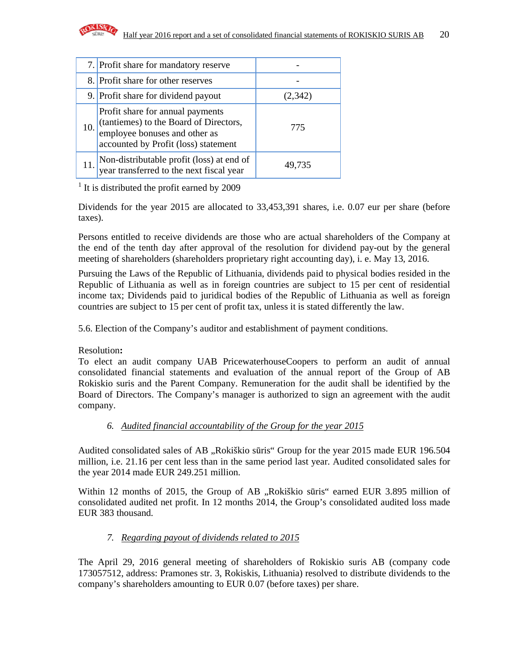

|     | 7. Profit share for mandatory reserve                                                                                                               |         |
|-----|-----------------------------------------------------------------------------------------------------------------------------------------------------|---------|
|     | 8. Profit share for other reserves                                                                                                                  |         |
|     | 9. Profit share for dividend payout                                                                                                                 | (2,342) |
| 10. | Profit share for annual payments<br>(tantiemes) to the Board of Directors,<br>employee bonuses and other as<br>accounted by Profit (loss) statement | 775     |
|     | Non-distributable profit (loss) at end of<br>year transferred to the next fiscal year                                                               | 49,735  |

<sup>1</sup> It is distributed the profit earned by 2009

Dividends for the year 2015 are allocated to 33,453,391 shares, i.e. 0.07 eur per share (before taxes).

Persons entitled to receive dividends are those who are actual shareholders of the Company at the end of the tenth day after approval of the resolution for dividend pay-out by the general meeting of shareholders (shareholders proprietary right accounting day), i. e. May 13, 2016.

Pursuing the Laws of the Republic of Lithuania, dividends paid to physical bodies resided in the Republic of Lithuania as well as in foreign countries are subject to 15 per cent of residential income tax; Dividends paid to juridical bodies of the Republic of Lithuania as well as foreign countries are subject to 15 per cent of profit tax, unless it is stated differently the law.

5.6. Election of the Company's auditor and establishment of payment conditions.

### Resolution**:**

To elect an audit company UAB PricewaterhouseCoopers to perform an audit of annual consolidated financial statements and evaluation of the annual report of the Group of AB Rokiskio suris and the Parent Company. Remuneration for the audit shall be identified by the Board of Directors. The Company's manager is authorized to sign an agreement with the audit company.

### *6. Audited financial accountability of the Group for the year 2015*

Audited consolidated sales of AB "Rokiškio sūris" Group for the year 2015 made EUR 196.504 million, i.e. 21.16 per cent less than in the same period last year. Audited consolidated sales for the year 2014 made EUR 249.251 million.

Within 12 months of 2015, the Group of AB "Rokiškio sūris" earned EUR 3.895 million of consolidated audited net profit. In 12 months 2014, the Group's consolidated audited loss made EUR 383 thousand.

### *7. Regarding payout of dividends related to 2015*

The April 29, 2016 general meeting of shareholders of Rokiskio suris AB (company code 173057512, address: Pramones str. 3, Rokiskis, Lithuania) resolved to distribute dividends to the company's shareholders amounting to EUR 0.07 (before taxes) per share.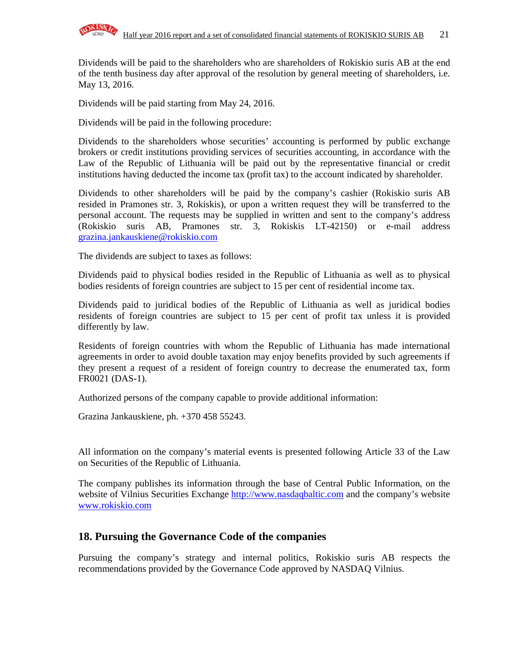

Dividends will be paid to the shareholders who are shareholders of Rokiskio suris AB at the end of the tenth business day after approval of the resolution by general meeting of shareholders, i.e. May 13, 2016.

Dividends will be paid starting from May 24, 2016.

Dividends will be paid in the following procedure:

Dividends to the shareholders whose securities' accounting is performed by public exchange brokers or credit institutions providing services of securities accounting, in accordance with the Law of the Republic of Lithuania will be paid out by the representative financial or credit institutions having deducted the income tax (profit tax) to the account indicated by shareholder.

Dividends to other shareholders will be paid by the company's cashier (Rokiskio suris AB resided in Pramones str. 3, Rokiskis), or upon a written request they will be transferred to the personal account. The requests may be supplied in written and sent to the company's address (Rokiskio suris AB, Pramones str. 3, Rokiskis LT-42150) or e-mail address grazina.jankauskiene@rokiskio.com

The dividends are subject to taxes as follows:

Dividends paid to physical bodies resided in the Republic of Lithuania as well as to physical bodies residents of foreign countries are subject to 15 per cent of residential income tax.

Dividends paid to juridical bodies of the Republic of Lithuania as well as juridical bodies residents of foreign countries are subject to 15 per cent of profit tax unless it is provided differently by law.

Residents of foreign countries with whom the Republic of Lithuania has made international agreements in order to avoid double taxation may enjoy benefits provided by such agreements if they present a request of a resident of foreign country to decrease the enumerated tax, form FR0021 (DAS-1).

Authorized persons of the company capable to provide additional information:

Grazina Jankauskiene, ph. +370 458 55243.

All information on the company's material events is presented following Article 33 of the Law on Securities of the Republic of Lithuania.

The company publishes its information through the base of Central Public Information, on the website of Vilnius Securities Exchange http://www.nasdaqbaltic.com and the company's website www.rokiskio.com

### **18. Pursuing the Governance Code of the companies**

Pursuing the company's strategy and internal politics, Rokiskio suris AB respects the recommendations provided by the Governance Code approved by NASDAQ Vilnius.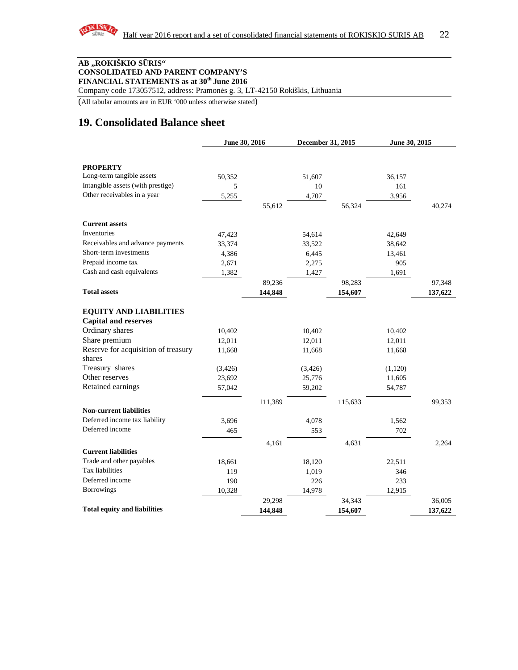

#### **AB "ROKIŠKIO S**Ū**RIS" CONSOLIDATED AND PARENT COMPANY'S FINANCIAL STATEMENTS as at 30th June 2016**

Company code 173057512, address: Pramonės g. 3, LT-42150 Rokiškis, Lithuania

(All tabular amounts are in EUR '000 unless otherwise stated)

### **19. Consolidated Balance sheet**

|                                     |          | June 30, 2016 |         | December 31, 2015 |         | June 30, 2015 |  |
|-------------------------------------|----------|---------------|---------|-------------------|---------|---------------|--|
|                                     |          |               |         |                   |         |               |  |
| <b>PROPERTY</b>                     |          |               |         |                   |         |               |  |
| Long-term tangible assets           | 50,352   |               | 51,607  |                   | 36,157  |               |  |
| Intangible assets (with prestige)   | 5        |               | 10      |                   | 161     |               |  |
| Other receivables in a year         | 5,255    |               | 4,707   |                   | 3,956   |               |  |
|                                     |          | 55,612        |         | 56,324            |         | 40,274        |  |
| <b>Current assets</b>               |          |               |         |                   |         |               |  |
| Inventories                         | 47,423   |               | 54,614  |                   | 42,649  |               |  |
| Receivables and advance payments    | 33,374   |               | 33,522  |                   | 38,642  |               |  |
| Short-term investments              | 4,386    |               | 6,445   |                   | 13,461  |               |  |
| Prepaid income tax                  | 2,671    |               | 2,275   |                   | 905     |               |  |
| Cash and cash equivalents           | 1,382    |               | 1,427   |                   | 1,691   |               |  |
|                                     |          | 89,236        |         | 98,283            |         | 97,348        |  |
| <b>Total assets</b>                 |          | 144,848       |         | 154,607           |         | 137,622       |  |
| <b>EQUITY AND LIABILITIES</b>       |          |               |         |                   |         |               |  |
| <b>Capital and reserves</b>         |          |               |         |                   |         |               |  |
| Ordinary shares                     | 10,402   |               | 10,402  |                   | 10,402  |               |  |
| Share premium                       | 12,011   |               | 12,011  |                   | 12,011  |               |  |
| Reserve for acquisition of treasury | 11,668   |               | 11,668  |                   | 11,668  |               |  |
| shares                              |          |               |         |                   |         |               |  |
| Treasury shares                     | (3, 426) |               | (3,426) |                   | (1,120) |               |  |
| Other reserves                      | 23,692   |               | 25,776  |                   | 11,605  |               |  |
| Retained earnings                   | 57,042   |               | 59,202  |                   | 54,787  |               |  |
|                                     |          | 111,389       |         | 115,633           |         | 99,353        |  |
| <b>Non-current liabilities</b>      |          |               |         |                   |         |               |  |
| Deferred income tax liability       | 3,696    |               | 4,078   |                   | 1,562   |               |  |
| Deferred income                     | 465      |               | 553     |                   | 702     |               |  |
|                                     |          | 4,161         |         | 4,631             |         | 2,264         |  |
| <b>Current liabilities</b>          |          |               |         |                   |         |               |  |
| Trade and other payables            | 18,661   |               | 18,120  |                   | 22,511  |               |  |
| Tax liabilities                     | 119      |               | 1,019   |                   | 346     |               |  |
| Deferred income                     | 190      |               | 226     |                   | 233     |               |  |
| <b>Borrowings</b>                   | 10,328   |               | 14,978  |                   | 12,915  |               |  |
|                                     |          | 29,298        |         | 34,343            |         | 36,005        |  |
| <b>Total equity and liabilities</b> |          | 144,848       |         | 154,607           |         | 137,622       |  |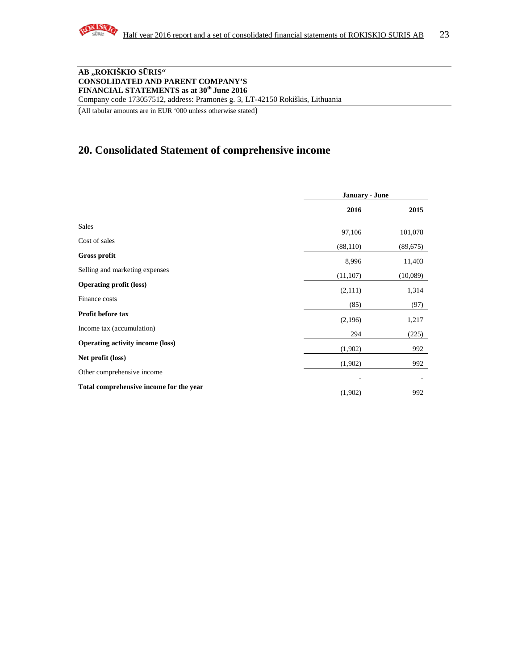

#### **AB "ROKIŠKIO S**Ū**RIS" CONSOLIDATED AND PARENT COMPANY'S FINANCIAL STATEMENTS as at 30th June 2016**  Company code 173057512, address: Pramonės g. 3, LT-42150 Rokiškis, Lithuania

(All tabular amounts are in EUR '000 unless otherwise stated)

### **20. Consolidated Statement of comprehensive income**

|                                         | January - June |           |
|-----------------------------------------|----------------|-----------|
|                                         | 2016           | 2015      |
| <b>Sales</b>                            | 97,106         | 101,078   |
| Cost of sales                           | (88, 110)      | (89, 675) |
| Gross profit                            | 8,996          | 11,403    |
| Selling and marketing expenses          | (11, 107)      | (10,089)  |
| <b>Operating profit (loss)</b>          | (2,111)        | 1,314     |
| Finance costs                           | (85)           | (97)      |
| Profit before tax                       | (2,196)        | 1,217     |
| Income tax (accumulation)               | 294            | (225)     |
| <b>Operating activity income (loss)</b> | (1,902)        | 992       |
| Net profit (loss)                       | (1,902)        | 992       |
| Other comprehensive income              |                |           |
| Total comprehensive income for the year | (1,902)        | 992       |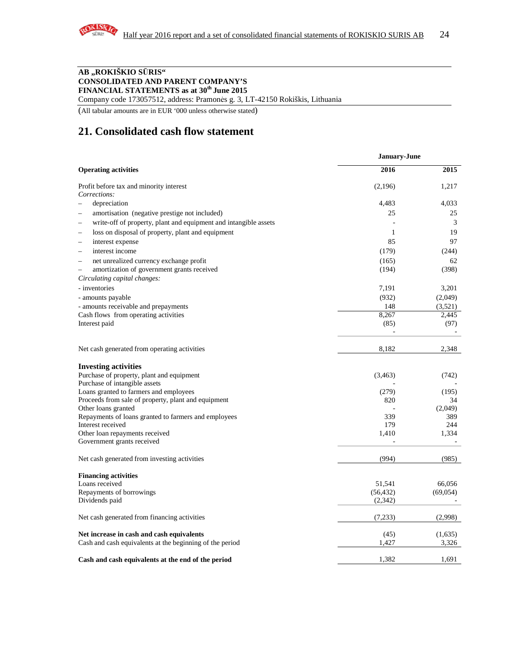

#### **AB "ROKIŠKIO S**Ū**RIS" CONSOLIDATED AND PARENT COMPANY'S FINANCIAL STATEMENTS as at 30th June 2015**

Company code 173057512, address: Pramonės g. 3, LT-42150 Rokiškis, Lithuania

(All tabular amounts are in EUR '000 unless otherwise stated)

### **21. Consolidated cash flow statement**

|                                                                     | January-June |          |  |
|---------------------------------------------------------------------|--------------|----------|--|
| <b>Operating activities</b>                                         | 2016         | 2015     |  |
| Profit before tax and minority interest                             | (2,196)      | 1,217    |  |
| Corrections:                                                        |              |          |  |
| depreciation<br>$\overline{\phantom{a}}$                            | 4,483        | 4,033    |  |
| amortisation (negative prestige not included)                       | 25           | 25       |  |
| write-off of property, plant and equipment and intangible assets    | ٠            | 3        |  |
| loss on disposal of property, plant and equipment                   | $\mathbf{1}$ | 19       |  |
| interest expense                                                    | 85           | 97       |  |
| interest income<br>$\overline{\phantom{a}}$                         | (179)        | (244)    |  |
| net unrealized currency exchange profit<br>$\overline{\phantom{a}}$ | (165)        | 62       |  |
| amortization of government grants received                          | (194)        | (398)    |  |
| Circulating capital changes:                                        |              |          |  |
| - inventories                                                       | 7,191        | 3,201    |  |
| - amounts payable                                                   | (932)        | (2,049)  |  |
| - amounts receivable and prepayments                                | 148          | (3,521)  |  |
| Cash flows from operating activities                                | 8,267        | 2,445    |  |
| Interest paid                                                       | (85)         | (97)     |  |
|                                                                     |              |          |  |
| Net cash generated from operating activities                        | 8,182        | 2,348    |  |
| <b>Investing activities</b>                                         |              |          |  |
| Purchase of property, plant and equipment                           | (3,463)      | (742)    |  |
| Purchase of intangible assets                                       |              |          |  |
| Loans granted to farmers and employees                              | (279)        | (195)    |  |
| Proceeds from sale of property, plant and equipment                 | 820          | 34       |  |
| Other loans granted                                                 |              | (2,049)  |  |
| Repayments of loans granted to farmers and employees                | 339          | 389      |  |
| Interest received                                                   | 179          | 244      |  |
| Other loan repayments received                                      | 1,410        | 1,334    |  |
| Government grants received                                          |              |          |  |
| Net cash generated from investing activities                        | (994)        | (985)    |  |
| <b>Financing activities</b>                                         |              |          |  |
| Loans received                                                      | 51,541       | 66,056   |  |
| Repayments of borrowings                                            | (56, 432)    | (69,054) |  |
| Dividends paid                                                      | (2,342)      |          |  |
| Net cash generated from financing activities                        | (7,233)      | (2,998)  |  |
| Net increase in cash and cash equivalents                           | (45)         | (1,635)  |  |
| Cash and cash equivalents at the beginning of the period            | 1,427        | 3,326    |  |
| Cash and cash equivalents at the end of the period                  | 1,382        | 1,691    |  |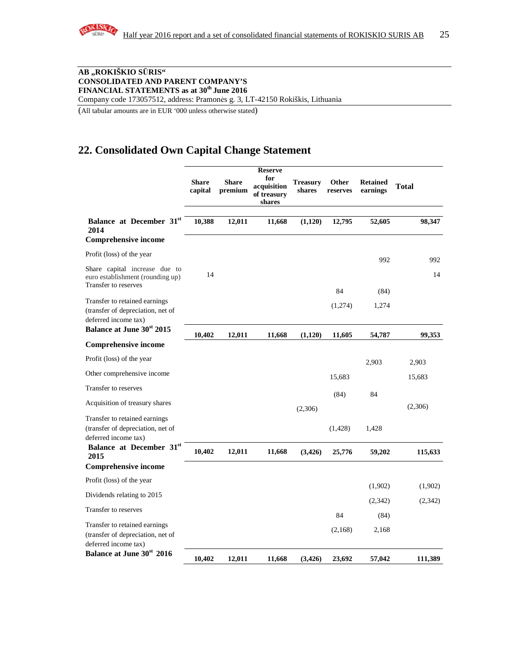

#### **AB "ROKIŠKIO S**Ū**RIS" CONSOLIDATED AND PARENT COMPANY'S FINANCIAL STATEMENTS as at 30th June 2016**  Company code 173057512, address: Pramonės g. 3, LT-42150 Rokiškis, Lithuania

(All tabular amounts are in EUR '000 unless otherwise stated)

### **22. Consolidated Own Capital Change Statement**

|                                                                                            | <b>Share</b><br>capital | <b>Share</b><br>premium | <b>Reserve</b><br>for<br>acquisition<br>of treasury<br>shares | Treasurv<br>shares | <b>Other</b><br>reserves | <b>Retained</b><br>earnings | <b>Total</b> |
|--------------------------------------------------------------------------------------------|-------------------------|-------------------------|---------------------------------------------------------------|--------------------|--------------------------|-----------------------------|--------------|
| Balance at December 31st<br>2014                                                           | 10,388                  | 12,011                  | 11,668                                                        | (1,120)            | 12,795                   | 52,605                      | 98,347       |
| <b>Comprehensive income</b>                                                                |                         |                         |                                                               |                    |                          |                             |              |
| Profit (loss) of the year                                                                  |                         |                         |                                                               |                    |                          | 992                         | 992          |
| Share capital increase due to<br>euro establishment (rounding up)<br>Transfer to reserves  | 14                      |                         |                                                               |                    |                          |                             | 14           |
| Transfer to retained earnings<br>(transfer of depreciation, net of<br>deferred income tax) |                         |                         |                                                               |                    | 84<br>(1,274)            | (84)<br>1,274               |              |
| <b>Balance at June 30st 2015</b>                                                           | 10,402                  | 12,011                  | 11,668                                                        | (1,120)            | 11,605                   | 54,787                      | 99,353       |
| <b>Comprehensive income</b>                                                                |                         |                         |                                                               |                    |                          |                             |              |
| Profit (loss) of the year                                                                  |                         |                         |                                                               |                    |                          | 2,903                       | 2,903        |
| Other comprehensive income                                                                 |                         |                         |                                                               |                    | 15,683                   |                             | 15,683       |
| Transfer to reserves                                                                       |                         |                         |                                                               |                    | (84)                     | 84                          |              |
| Acquisition of treasury shares                                                             |                         |                         |                                                               | (2,306)            |                          |                             | (2,306)      |
| Transfer to retained earnings<br>(transfer of depreciation, net of<br>deferred income tax) |                         |                         |                                                               |                    | (1, 428)                 | 1,428                       |              |
| Balance at December 31st<br>2015                                                           | 10,402                  | 12,011                  | 11,668                                                        | (3, 426)           | 25,776                   | 59,202                      | 115,633      |
| <b>Comprehensive income</b>                                                                |                         |                         |                                                               |                    |                          |                             |              |
| Profit (loss) of the year                                                                  |                         |                         |                                                               |                    |                          | (1,902)                     | (1,902)      |
| Dividends relating to 2015                                                                 |                         |                         |                                                               |                    |                          | (2,342)                     | (2,342)      |
| Transfer to reserves                                                                       |                         |                         |                                                               |                    | 84                       | (84)                        |              |
| Transfer to retained earnings<br>(transfer of depreciation, net of<br>deferred income tax) |                         |                         |                                                               |                    | (2,168)                  | 2,168                       |              |
| Balance at June 30 <sup>st</sup> 2016                                                      | 10.402                  | 12.011                  | 11.668                                                        | (3,426)            | 23,692                   | 57,042                      | 111,389      |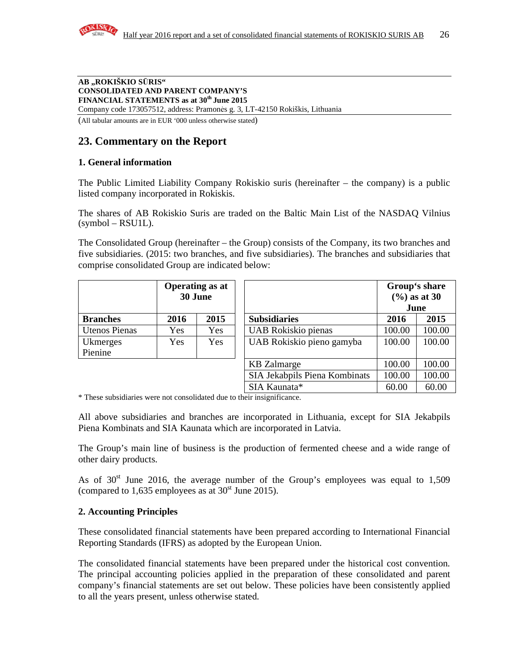

#### **AB "ROKIŠKIO S**Ū**RIS" CONSOLIDATED AND PARENT COMPANY'S FINANCIAL STATEMENTS as at 30th June 2015**  Company code 173057512, address: Pramonės g. 3, LT-42150 Rokiškis, Lithuania

(All tabular amounts are in EUR '000 unless otherwise stated)

### **23. Commentary on the Report**

### **1. General information**

The Public Limited Liability Company Rokiskio suris (hereinafter – the company) is a public listed company incorporated in Rokiskis.

The shares of AB Rokiskio Suris are traded on the Baltic Main List of the NASDAQ Vilnius  $(symbol - RSU1L)$ .

The Consolidated Group (hereinafter – the Group) consists of the Company, its two branches and five subsidiaries. (2015: two branches, and five subsidiaries). The branches and subsidiaries that comprise consolidated Group are indicated below:

|                      | <b>Operating as at</b><br>30 June |            |                               | Group's share<br>$(%)$ as at 30<br>June |        |
|----------------------|-----------------------------------|------------|-------------------------------|-----------------------------------------|--------|
| <b>Branches</b>      | 2016                              | 2015       | <b>Subsidiaries</b>           | 2016                                    | 2015   |
| <b>Utenos Pienas</b> | <b>Yes</b>                        | <b>Yes</b> | UAB Rokiskio pienas           | 100.00                                  | 100.00 |
| Ukmerges             | Yes                               | Yes        | UAB Rokiskio pieno gamyba     |                                         | 100.00 |
| Pienine              |                                   |            |                               |                                         |        |
|                      |                                   |            | <b>KB</b> Zalmarge            | 100.00                                  | 100.00 |
|                      |                                   |            | SIA Jekabpils Piena Kombinats | 100.00                                  | 100.00 |
|                      |                                   |            | SIA Kaunata*                  | 60.00                                   | 60.00  |

\* These subsidiaries were not consolidated due to their insignificance.

All above subsidiaries and branches are incorporated in Lithuania, except for SIA Jekabpils Piena Kombinats and SIA Kaunata which are incorporated in Latvia.

The Group's main line of business is the production of fermented cheese and a wide range of other dairy products.

As of  $30<sup>st</sup>$  June 2016, the average number of the Group's employees was equal to 1,509 (compared to 1,635 employees as at  $30<sup>st</sup>$  June 2015).

#### **2. Accounting Principles**

These consolidated financial statements have been prepared according to International Financial Reporting Standards (IFRS) as adopted by the European Union.

The consolidated financial statements have been prepared under the historical cost convention. The principal accounting policies applied in the preparation of these consolidated and parent company's financial statements are set out below. These policies have been consistently applied to all the years present, unless otherwise stated.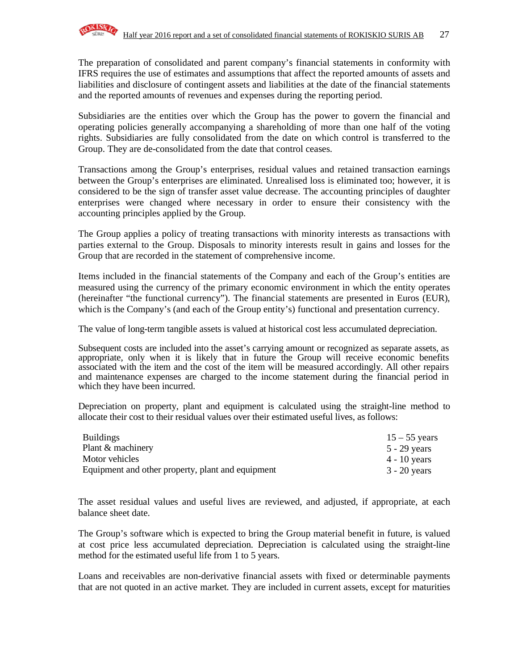The preparation of consolidated and parent company's financial statements in conformity with IFRS requires the use of estimates and assumptions that affect the reported amounts of assets and liabilities and disclosure of contingent assets and liabilities at the date of the financial statements and the reported amounts of revenues and expenses during the reporting period.

Subsidiaries are the entities over which the Group has the power to govern the financial and operating policies generally accompanying a shareholding of more than one half of the voting rights. Subsidiaries are fully consolidated from the date on which control is transferred to the Group. They are de-consolidated from the date that control ceases.

Transactions among the Group's enterprises, residual values and retained transaction earnings between the Group's enterprises are eliminated. Unrealised loss is eliminated too; however, it is considered to be the sign of transfer asset value decrease. The accounting principles of daughter enterprises were changed where necessary in order to ensure their consistency with the accounting principles applied by the Group.

The Group applies a policy of treating transactions with minority interests as transactions with parties external to the Group. Disposals to minority interests result in gains and losses for the Group that are recorded in the statement of comprehensive income.

Items included in the financial statements of the Company and each of the Group's entities are measured using the currency of the primary economic environment in which the entity operates (hereinafter "the functional currency"). The financial statements are presented in Euros (EUR), which is the Company's (and each of the Group entity's) functional and presentation currency.

The value of long-term tangible assets is valued at historical cost less accumulated depreciation.

Subsequent costs are included into the asset's carrying amount or recognized as separate assets, as appropriate, only when it is likely that in future the Group will receive economic benefits associated with the item and the cost of the item will be measured accordingly. All other repairs and maintenance expenses are charged to the income statement during the financial period in which they have been incurred.

Depreciation on property, plant and equipment is calculated using the straight-line method to allocate their cost to their residual values over their estimated useful lives, as follows:

| <b>Buildings</b>                                  | $15 - 55$ years |
|---------------------------------------------------|-----------------|
| Plant & machinery                                 | 5 - 29 years    |
| Motor vehicles                                    | 4 - 10 years    |
| Equipment and other property, plant and equipment | $3 - 20$ years  |

The asset residual values and useful lives are reviewed, and adjusted, if appropriate, at each balance sheet date.

The Group's software which is expected to bring the Group material benefit in future, is valued at cost price less accumulated depreciation. Depreciation is calculated using the straight-line method for the estimated useful life from 1 to 5 years.

Loans and receivables are non-derivative financial assets with fixed or determinable payments that are not quoted in an active market. They are included in current assets, except for maturities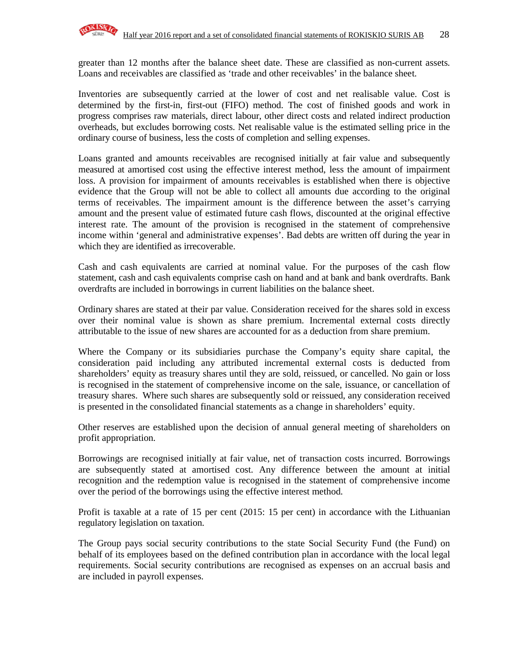

greater than 12 months after the balance sheet date. These are classified as non-current assets. Loans and receivables are classified as 'trade and other receivables' in the balance sheet.

Inventories are subsequently carried at the lower of cost and net realisable value. Cost is determined by the first-in, first-out (FIFO) method. The cost of finished goods and work in progress comprises raw materials, direct labour, other direct costs and related indirect production overheads, but excludes borrowing costs. Net realisable value is the estimated selling price in the ordinary course of business, less the costs of completion and selling expenses.

Loans granted and amounts receivables are recognised initially at fair value and subsequently measured at amortised cost using the effective interest method, less the amount of impairment loss. A provision for impairment of amounts receivables is established when there is objective evidence that the Group will not be able to collect all amounts due according to the original terms of receivables. The impairment amount is the difference between the asset's carrying amount and the present value of estimated future cash flows, discounted at the original effective interest rate. The amount of the provision is recognised in the statement of comprehensive income within 'general and administrative expenses'. Bad debts are written off during the year in which they are identified as irrecoverable.

Cash and cash equivalents are carried at nominal value. For the purposes of the cash flow statement, cash and cash equivalents comprise cash on hand and at bank and bank overdrafts. Bank overdrafts are included in borrowings in current liabilities on the balance sheet.

Ordinary shares are stated at their par value. Consideration received for the shares sold in excess over their nominal value is shown as share premium. Incremental external costs directly attributable to the issue of new shares are accounted for as a deduction from share premium.

Where the Company or its subsidiaries purchase the Company's equity share capital, the consideration paid including any attributed incremental external costs is deducted from shareholders' equity as treasury shares until they are sold, reissued, or cancelled. No gain or loss is recognised in the statement of comprehensive income on the sale, issuance, or cancellation of treasury shares. Where such shares are subsequently sold or reissued, any consideration received is presented in the consolidated financial statements as a change in shareholders' equity.

Other reserves are established upon the decision of annual general meeting of shareholders on profit appropriation.

Borrowings are recognised initially at fair value, net of transaction costs incurred. Borrowings are subsequently stated at amortised cost. Any difference between the amount at initial recognition and the redemption value is recognised in the statement of comprehensive income over the period of the borrowings using the effective interest method.

Profit is taxable at a rate of 15 per cent (2015: 15 per cent) in accordance with the Lithuanian regulatory legislation on taxation.

The Group pays social security contributions to the state Social Security Fund (the Fund) on behalf of its employees based on the defined contribution plan in accordance with the local legal requirements. Social security contributions are recognised as expenses on an accrual basis and are included in payroll expenses.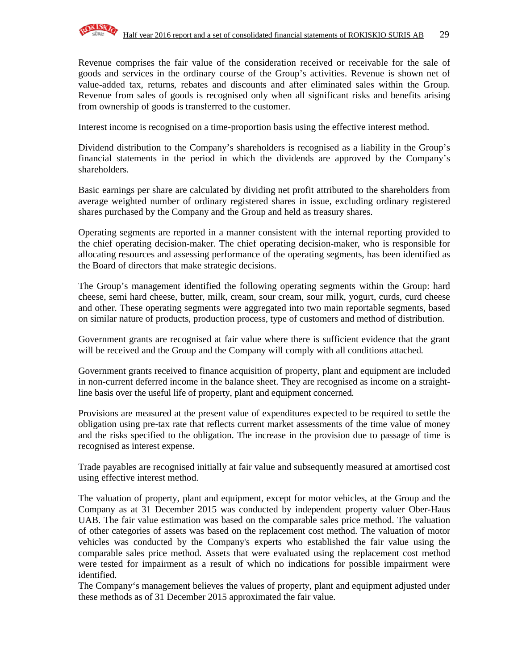

Revenue comprises the fair value of the consideration received or receivable for the sale of goods and services in the ordinary course of the Group's activities. Revenue is shown net of value-added tax, returns, rebates and discounts and after eliminated sales within the Group. Revenue from sales of goods is recognised only when all significant risks and benefits arising from ownership of goods is transferred to the customer.

Interest income is recognised on a time-proportion basis using the effective interest method.

Dividend distribution to the Company's shareholders is recognised as a liability in the Group's financial statements in the period in which the dividends are approved by the Company's shareholders.

Basic earnings per share are calculated by dividing net profit attributed to the shareholders from average weighted number of ordinary registered shares in issue, excluding ordinary registered shares purchased by the Company and the Group and held as treasury shares.

Operating segments are reported in a manner consistent with the internal reporting provided to the chief operating decision-maker. The chief operating decision-maker, who is responsible for allocating resources and assessing performance of the operating segments, has been identified as the Board of directors that make strategic decisions.

The Group's management identified the following operating segments within the Group: hard cheese, semi hard cheese, butter, milk, cream, sour cream, sour milk, yogurt, curds, curd cheese and other. These operating segments were aggregated into two main reportable segments, based on similar nature of products, production process, type of customers and method of distribution.

Government grants are recognised at fair value where there is sufficient evidence that the grant will be received and the Group and the Company will comply with all conditions attached.

Government grants received to finance acquisition of property, plant and equipment are included in non-current deferred income in the balance sheet. They are recognised as income on a straightline basis over the useful life of property, plant and equipment concerned.

Provisions are measured at the present value of expenditures expected to be required to settle the obligation using pre-tax rate that reflects current market assessments of the time value of money and the risks specified to the obligation. The increase in the provision due to passage of time is recognised as interest expense.

Trade payables are recognised initially at fair value and subsequently measured at amortised cost using effective interest method.

The valuation of property, plant and equipment, except for motor vehicles, at the Group and the Company as at 31 December 2015 was conducted by independent property valuer Ober-Haus UAB. The fair value estimation was based on the comparable sales price method. The valuation of other categories of assets was based on the replacement cost method. The valuation of motor vehicles was conducted by the Company's experts who established the fair value using the comparable sales price method. Assets that were evaluated using the replacement cost method were tested for impairment as a result of which no indications for possible impairment were identified.

The Company's management believes the values of property, plant and equipment adjusted under these methods as of 31 December 2015 approximated the fair value.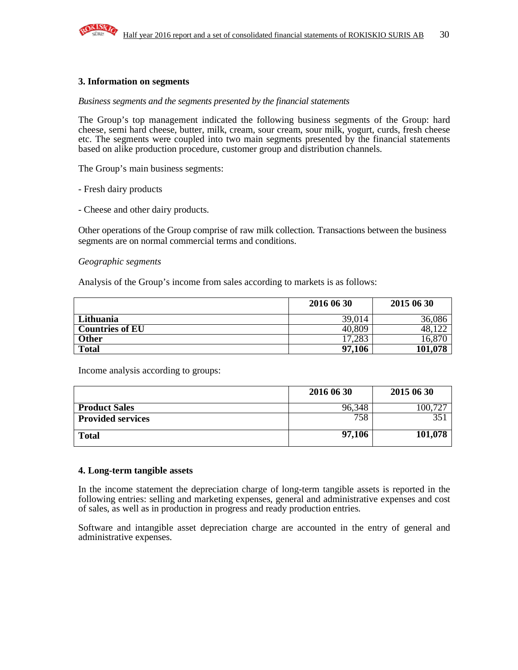

#### **3. Information on segments**

#### *Business segments and the segments presented by the financial statements*

The Group's top management indicated the following business segments of the Group: hard cheese, semi hard cheese, butter, milk, cream, sour cream, sour milk, yogurt, curds, fresh cheese etc. The segments were coupled into two main segments presented by the financial statements based on alike production procedure, customer group and distribution channels.

The Group's main business segments:

- Fresh dairy products

- Cheese and other dairy products.

Other operations of the Group comprise of raw milk collection. Transactions between the business segments are on normal commercial terms and conditions.

#### *Geographic segments*

Analysis of the Group's income from sales according to markets is as follows:

|                        | 2016 06 30 | 2015 06 30 |
|------------------------|------------|------------|
| Lithuania              | 39,014     | 36,086     |
| <b>Countries of EU</b> | 40,809     | 48.        |
| Other                  | 17.283     | 16,870     |
| <b>Total</b>           | 97,106     | 101,078    |

Income analysis according to groups:

|                          | 2016 06 30 | 2015 06 30 |
|--------------------------|------------|------------|
| <b>Product Sales</b>     | 96.348     | 00.72      |
| <b>Provided services</b> | 758        |            |
| <b>Total</b>             | 97,106     | 101,078    |

#### **4. Long-term tangible assets**

In the income statement the depreciation charge of long-term tangible assets is reported in the following entries: selling and marketing expenses, general and administrative expenses and cost of sales, as well as in production in progress and ready production entries.

Software and intangible asset depreciation charge are accounted in the entry of general and administrative expenses.